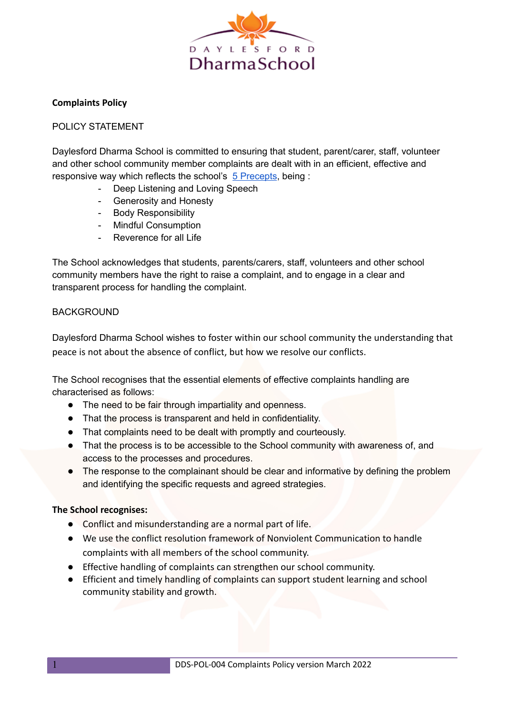

### **Complaints Policy**

### POLICY STATEMENT

Daylesford Dharma School is committed to ensuring that student, parent/carer, staff, volunteer and other school community member complaints are dealt with in an efficient, effective and responsive way which reflects the school's 5 [Precepts](https://www.dharmaschool.com.au/5-precepts.php), being :

- Deep Listening and Loving Speech
- Generosity and Honesty
- Body Responsibility
- Mindful Consumption
- Reverence for all Life

The School acknowledges that students, parents/carers, staff, volunteers and other school community members have the right to raise a complaint, and to engage in a clear and transparent process for handling the complaint.

### **BACKGROUND**

Daylesford Dharma School wishes to foster within our school community the understanding that peace is not about the absence of conflict, but how we resolve our conflicts.

The School recognises that the essential elements of effective complaints handling are characterised as follows:

- The need to be fair through impartiality and openness.
- That the process is transparent and held in confidentiality.
- That complaints need to be dealt with promptly and courteously.
- That the process is to be accessible to the School community with awareness of, and access to the processes and procedures.
- The response to the complainant should be clear and informative by defining the problem and identifying the specific requests and agreed strategies.

### **The School recognises:**

- Conflict and misunderstanding are a normal part of life.
- We use the conflict resolution framework of Nonviolent Communication to handle complaints with all members of the school community.
- Effective handling of complaints can strengthen our school community.
- Efficient and timely handling of complaints can support student learning and school community stability and growth.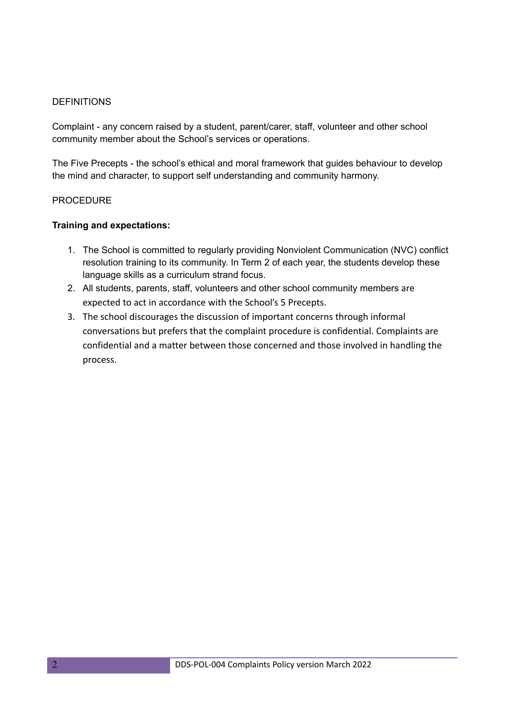### **DEFINITIONS**

Complaint - any concern raised by a student, parent/carer, staff, volunteer and other school community member about the School's services or operations.

The Five Precepts - the school's ethical and moral framework that guides behaviour to develop the mind and character, to support self understanding and community harmony.

### PROCEDURE

### **Training and expectations:**

- 1. The School is committed to regularly providing Nonviolent Communication (NVC) conflict resolution training to its community. In Term 2 of each year, the students develop these language skills as a curriculum strand focus.
- 2. All students, parents, staff, volunteers and other school community members are expected to act in accordance with the School's 5 Precepts.
- 3. The school discourages the discussion of important concerns through informal conversations but prefers that the complaint procedure is confidential. Complaints are confidential and a matter between those concerned and those involved in handling the process.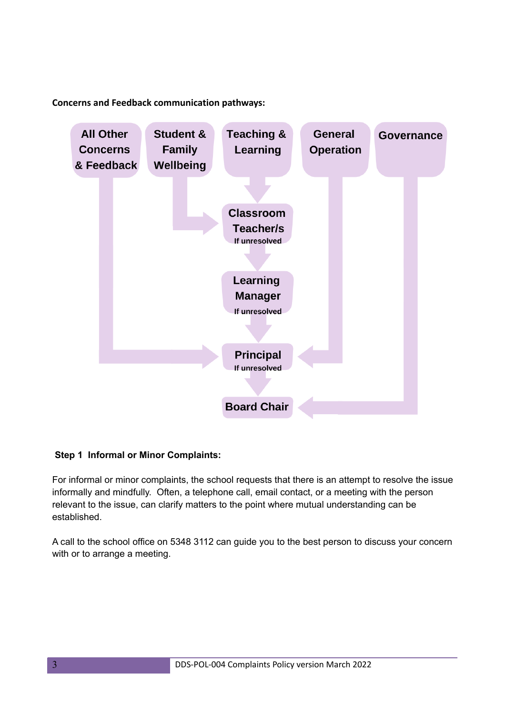**Concerns and Feedback communication pathways:**



## **Step 1 Informal or Minor Complaints:**

For informal or minor complaints, the school requests that there is an attempt to resolve the issue informally and mindfully. Often, a telephone call, email contact, or a meeting with the person relevant to the issue, can clarify matters to the point where mutual understanding can be established.

A call to the school office on 5348 3112 can guide you to the best person to discuss your concern with or to arrange a meeting.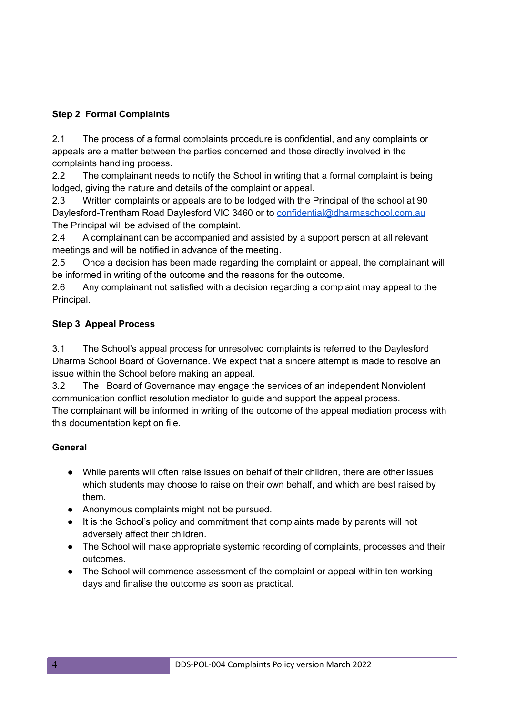# **Step 2 Formal Complaints**

2.1 The process of a formal complaints procedure is confidential, and any complaints or appeals are a matter between the parties concerned and those directly involved in the complaints handling process.

2.2 The complainant needs to notify the School in writing that a formal complaint is being lodged, giving the nature and details of the complaint or appeal.

2.3 Written complaints or appeals are to be lodged with the Principal of the school at 90 Daylesford-Trentham Road Daylesford VIC 3460 or to [confidential@dharmaschool.com.au](mailto:confidential@dharmaschool.com.au) The Principal will be advised of the complaint.

2.4 A complainant can be accompanied and assisted by a support person at all relevant meetings and will be notified in advance of the meeting.

2.5 Once a decision has been made regarding the complaint or appeal, the complainant will be informed in writing of the outcome and the reasons for the outcome.

2.6 Any complainant not satisfied with a decision regarding a complaint may appeal to the Principal.

# **Step 3 Appeal Process**

3.1 The School's appeal process for unresolved complaints is referred to the Daylesford Dharma School Board of Governance. We expect that a sincere attempt is made to resolve an issue within the School before making an appeal.

3.2 The Board of Governance may engage the services of an independent Nonviolent communication conflict resolution mediator to guide and support the appeal process. The complainant will be informed in writing of the outcome of the appeal mediation process with this documentation kept on file.

# **General**

- While parents will often raise issues on behalf of their children, there are other issues which students may choose to raise on their own behalf, and which are best raised by them.
- Anonymous complaints might not be pursued.
- It is the School's policy and commitment that complaints made by parents will not adversely affect their children.
- The School will make appropriate systemic recording of complaints, processes and their outcomes.
- The School will commence assessment of the complaint or appeal within ten working days and finalise the outcome as soon as practical.